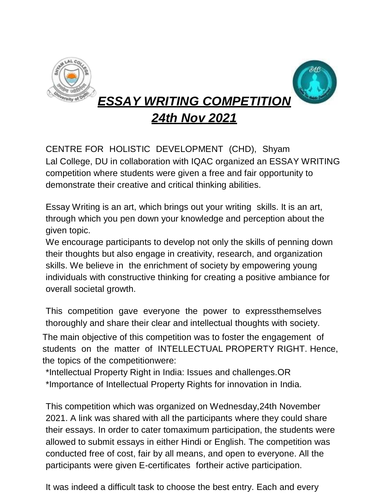



*ESSAY WRITING COMPETITION*

*24th Nov 2021*

CENTRE FOR HOLISTIC DEVELOPMENT (CHD), Shyam Lal College, DU in collaboration with IQAC organized an ESSAY WRITING competition where students were given a free and fair opportunity to demonstrate their creative and critical thinking abilities.

Essay Writing is an art, which brings out your writing skills. It is an art, through which you pen down your knowledge and perception about the given topic.

We encourage participants to develop not only the skills of penning down their thoughts but also engage in creativity, research, and organization skills. We believe in the enrichment of society by empowering young individuals with constructive thinking for creating a positive ambiance for overall societal growth.

This competition gave everyone the power to expressthemselves thoroughly and share their clear and intellectual thoughts with society.

The main objective of this competition was to foster the engagement of students on the matter of INTELLECTUAL PROPERTY RIGHT. Hence, the topics of the competitionwere:

\*Intellectual Property Right in India: Issues and challenges.OR \*Importance of Intellectual Property Rights for innovation in India.

This competition which was organized on Wednesday,24th November 2021. A link was shared with all the participants where they could share their essays. In order to cater tomaximum participation, the students were allowed to submit essays in either Hindi or English. The competition was conducted free of cost, fair by all means, and open to everyone. All the participants were given E-certificates fortheir active participation.

It was indeed a difficult task to choose the best entry. Each and every